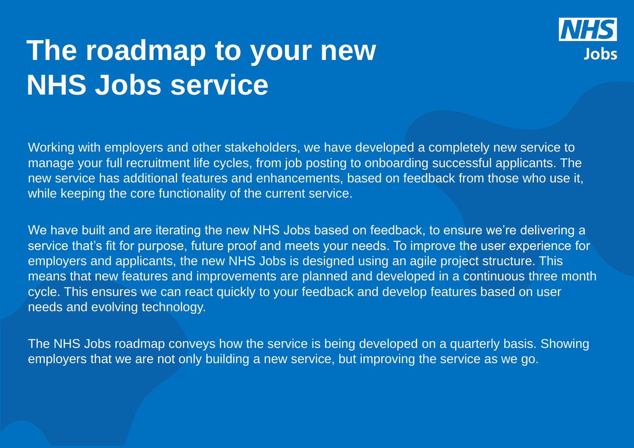# **The roadmap to your new NHS Jobs service**

Working with employers and other stakeholders, we have developed a completely new service to manage your full recruitment life cycles, from job posting to onboarding successful applicants. The new service has additional features and enhancements, based on feedback from those who use it, while keeping the core functionality of the current service.

We have built and are iterating the new NHS Jobs based on feedback, to ensure we're delivering a service that's fit for purpose, future proof and meets your needs. To improve the user experience for employers and applicants, the new NHS Jobs is designed using an agile project structure. This means that new features and improvements are planned and developed in a continuous three month cycle. This ensures we can react quickly to your feedback and develop features based on user needs and evolving technology.

The NHS Jobs roadmap conveys how the service is being developed on a quarterly basis. Showing employers that we are not only building a new service, but improving the service as we go.

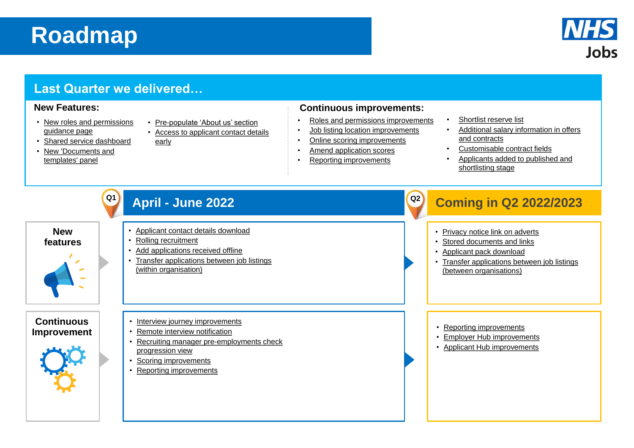• [Privacy notice link on adverts](#page-15-0) • [Stored documents and links](#page-10-0) • [Transfer applications between job listings](#page-17-0)  (between organisations)

- [Roles and permissions improvements](#page-2-0)
- [Job listing location improvements](#page-7-0)
- [Online scoring improvements](#page-5-0)
- [Amend application scores](#page-5-0)
- [Reporting improvements](#page-8-0)

- 
- 
- 

• [Employer Hub improvements](#page-20-0) • [Applicant Hub improvements](#page-19-0)

[Shortlist reserve list](#page-6-0) • [Additional salary information in offers](#page-4-0) and contracts • [Customisable contract fields](#page-3-0) • [Applicants added to published and](#page-11-0)  shortlisting stage

### **Last Quarter we delivered…**





- [New roles and permissions](#page-2-0)  guidance page
- [Shared service dashboard](#page-9-0)
- [New 'Documents and](#page-10-0)  templates' panel
- [Pre-populate 'About us' section](#page-13-0)
- [Access to applicant contact details](#page-11-0) early

#### **New Features: Continuous improvements:**

# **Roadmap**

## **April - June 2022 Coming in Q2 2022/2023**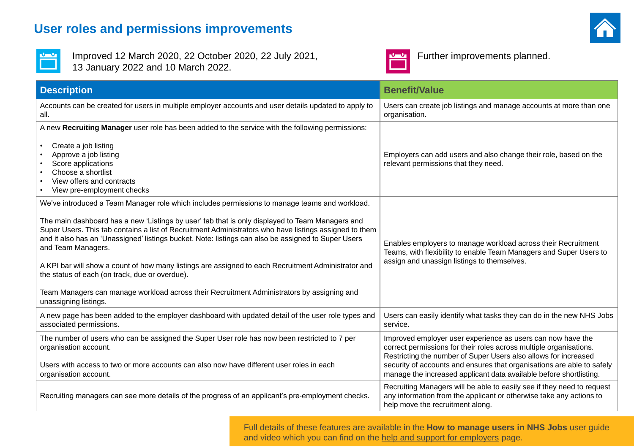### <span id="page-2-0"></span>**User roles and permissions improvements**



Improved 12 March 2020, 22 October 2020, 22 July 2021, **Full and Lucky Further improvements planned.** 13 January 2022 and 10 March 2022.



| <b>Description</b>                                                                                                                                                                                                                                                                                                                                                                                                                                                                                                                                                                                                                                                                                                      | <b>Benefit/Value</b>                                                                                                                                              |
|-------------------------------------------------------------------------------------------------------------------------------------------------------------------------------------------------------------------------------------------------------------------------------------------------------------------------------------------------------------------------------------------------------------------------------------------------------------------------------------------------------------------------------------------------------------------------------------------------------------------------------------------------------------------------------------------------------------------------|-------------------------------------------------------------------------------------------------------------------------------------------------------------------|
| Accounts can be created for users in multiple employer accounts and user details updated to apply to<br>all.                                                                                                                                                                                                                                                                                                                                                                                                                                                                                                                                                                                                            | Users can create job listings a<br>organisation.                                                                                                                  |
| A new Recruiting Manager user role has been added to the service with the following permissions:<br>Create a job listing<br>Approve a job listing<br>Score applications<br>Choose a shortlist<br>View offers and contracts                                                                                                                                                                                                                                                                                                                                                                                                                                                                                              | Employers can add users and<br>relevant permissions that they                                                                                                     |
| View pre-employment checks                                                                                                                                                                                                                                                                                                                                                                                                                                                                                                                                                                                                                                                                                              |                                                                                                                                                                   |
| We've introduced a Team Manager role which includes permissions to manage teams and workload.<br>The main dashboard has a new 'Listings by user' tab that is only displayed to Team Managers and<br>Super Users. This tab contains a list of Recruitment Administrators who have listings assigned to them<br>and it also has an 'Unassigned' listings bucket. Note: listings can also be assigned to Super Users<br>and Team Managers.<br>A KPI bar will show a count of how many listings are assigned to each Recruitment Administrator and<br>the status of each (on track, due or overdue).<br>Team Managers can manage workload across their Recruitment Administrators by assigning and<br>unassigning listings. | Enables employers to manage<br>Teams, with flexibility to enab<br>assign and unassign listings t                                                                  |
| A new page has been added to the employer dashboard with updated detail of the user role types and   Users can easily identify what<br>associated permissions.                                                                                                                                                                                                                                                                                                                                                                                                                                                                                                                                                          | service.                                                                                                                                                          |
| The number of users who can be assigned the Super User role has now been restricted to 7 per<br>organisation account.<br>Users with access to two or more accounts can also now have different user roles in each<br>organisation account.                                                                                                                                                                                                                                                                                                                                                                                                                                                                              | Improved employer user expe<br>correct permissions for their re<br>Restricting the number of Sup<br>security of accounts and ensu<br>manage the increased applica |
| Recruiting managers can see more details of the progress of an applicant's pre-employment checks.                                                                                                                                                                                                                                                                                                                                                                                                                                                                                                                                                                                                                       | Recruiting Managers will be a<br>any information from the appli<br>help move the recruitment alc                                                                  |
|                                                                                                                                                                                                                                                                                                                                                                                                                                                                                                                                                                                                                                                                                                                         |                                                                                                                                                                   |

Full details of these features are available in the **How to manage users in NHS Jobs** user guide and video which you can find on the [help and support for employers](https://www.nhsbsa.nhs.uk/new-nhs-jobs-service/help-and-support-employers) page.



and manage accounts at more than one

d also change their role, based on the v need.

ge workload across their Recruitment Ie Team Managers and Super Users to to themselves.

It tasks they can do in the new NHS Jobs

erience as users can now have the roles across multiple organisations. per Users also allows for increased ures that organisations are able to safely ant data available before shortlisting.

able to easily see if they need to request licant or otherwise take any actions to ong.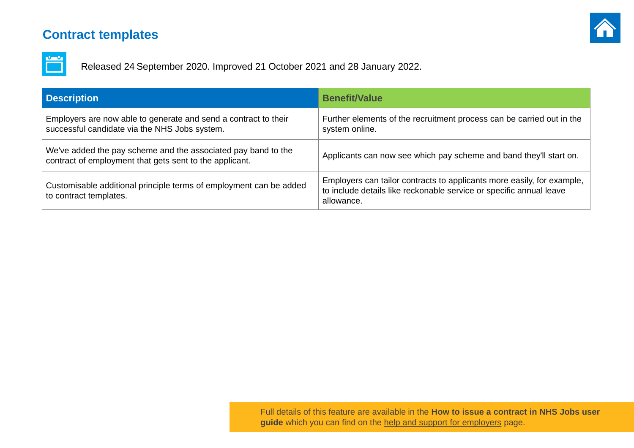## <span id="page-3-0"></span>**Contract templates**



Released 24 September 2020. Improved 21 October 2021 and 28 January 2022.

| <b>Description</b>                                                                                                       | <b>Benefit/Value</b>                                                                                   |
|--------------------------------------------------------------------------------------------------------------------------|--------------------------------------------------------------------------------------------------------|
| Employers are now able to generate and send a contract to their<br>successful candidate via the NHS Jobs system.         | Further elements of the recruitment proce<br>system online.                                            |
| We've added the pay scheme and the associated pay band to the<br>contract of employment that gets sent to the applicant. | Applicants can now see which pay schem                                                                 |
| Customisable additional principle terms of employment can be added<br>to contract templates.                             | Employers can tailor contracts to applicar<br>to include details like reckonable service<br>allowance. |



ess can be carried out in the

ne and band they'll start on.

nts more easily, for example, or specific annual leave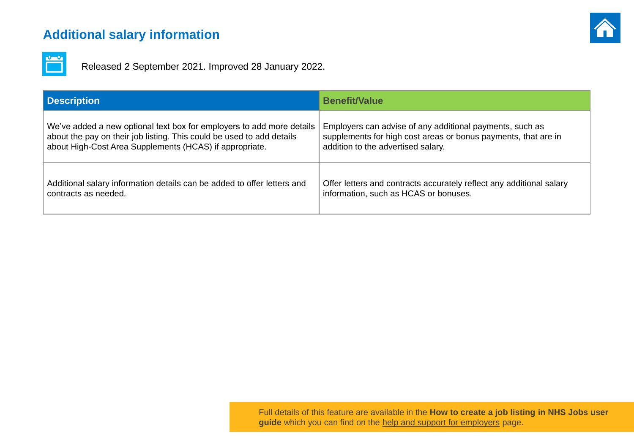## <span id="page-4-0"></span>**Additional salary information**



Released 2 September 2021. Improved 28 January 2022.



ayments, such as s payments, that are in

ect any additional salary

| <b>Description</b>                                                      | <b>Benefit/Value</b>                         |
|-------------------------------------------------------------------------|----------------------------------------------|
| We've added a new optional text box for employers to add more details   | Employers can advise of any additional p     |
| about the pay on their job listing. This could be used to add details   | supplements for high cost areas or bonus     |
| about High-Cost Area Supplements (HCAS) if appropriate.                 | addition to the advertised salary.           |
| Additional salary information details can be added to offer letters and | Offer letters and contracts accurately refle |
| contracts as needed.                                                    | information, such as HCAS or bonuses.        |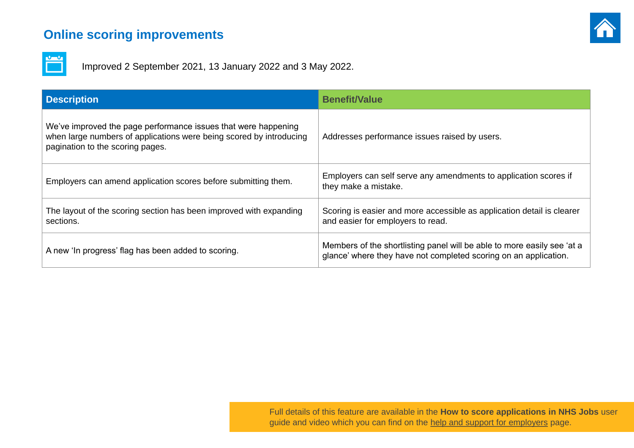### <span id="page-5-0"></span>**Online scoring improvements**



Improved 2 September 2021, 13 January 2022 and 3 May 2022.

| <b>Description</b>                                                                                                                                                        | <b>Benefit/Value</b>                                                                    |
|---------------------------------------------------------------------------------------------------------------------------------------------------------------------------|-----------------------------------------------------------------------------------------|
| We've improved the page performance issues that were happening<br>when large numbers of applications were being scored by introducing<br>pagination to the scoring pages. | Addresses performance issues raised by                                                  |
| Employers can amend application scores before submitting them.                                                                                                            | Employers can self serve any amendmen<br>they make a mistake.                           |
| The layout of the scoring section has been improved with expanding<br>sections.                                                                                           | Scoring is easier and more accessible as<br>and easier for employers to read.           |
| A new 'In progress' flag has been added to scoring.                                                                                                                       | Members of the shortlisting panel will be a<br>glance' where they have not completed so |



users.

nts to application scores if

application detail is clearer

able to more easily see 'at a coring on an application.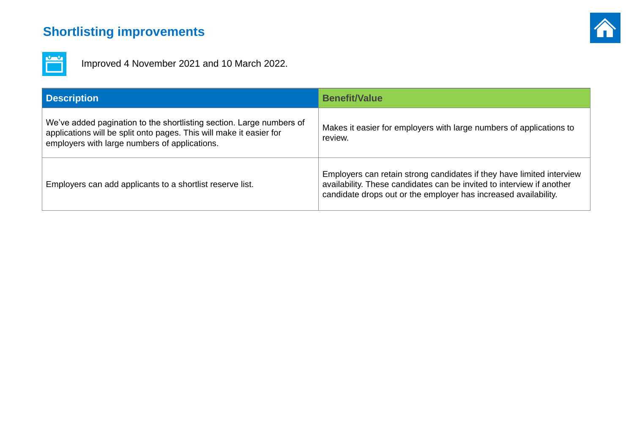## <span id="page-6-0"></span>**Shortlisting improvements**

Improved 4 November 2021 and 10 March 2022.

| <b>Description</b>                                                                                                                                                                           | <b>Benefit/Value</b>                                                                                                                |
|----------------------------------------------------------------------------------------------------------------------------------------------------------------------------------------------|-------------------------------------------------------------------------------------------------------------------------------------|
| We've added pagination to the shortlisting section. Large numbers of<br>applications will be split onto pages. This will make it easier for<br>employers with large numbers of applications. | Makes it easier for employers with large r<br>review.                                                                               |
| Employers can add applicants to a shortlist reserve list.                                                                                                                                    | Employers can retain strong candidates if<br>availability. These candidates can be invit<br>candidate drops out or the employer has |



#### numbers of applications to

If they have limited interview ted to interview if another  $i$  increased availability.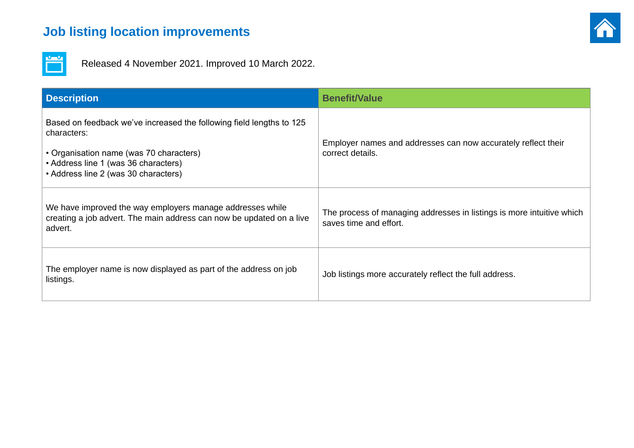## <span id="page-7-0"></span>**Job listing location improvements**

Released 4 November 2021. Improved 10 March 2022.

| <b>Description</b>                                                                                                                                                                                             | <b>Benefit/Value</b>                                                         |
|----------------------------------------------------------------------------------------------------------------------------------------------------------------------------------------------------------------|------------------------------------------------------------------------------|
| Based on feedback we've increased the following field lengths to 125<br>characters:<br>• Organisation name (was 70 characters)<br>• Address line 1 (was 36 characters)<br>• Address line 2 (was 30 characters) | Employer names and addresses can now accuratel<br>correct details.           |
| We have improved the way employers manage addresses while<br>creating a job advert. The main address can now be updated on a live<br>advert.                                                                   | The process of managing addresses in listings is m<br>saves time and effort. |
| The employer name is now displayed as part of the address on job<br>listings.                                                                                                                                  | Job listings more accurately reflect the full address.                       |



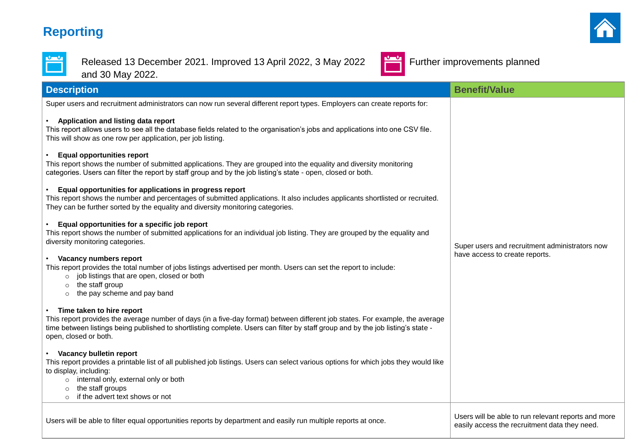## <span id="page-8-0"></span>**Reporting**



Released 13 December 2021. Improved 13 April 2022, 3 May 2022 Further improvements planned and 30 May 2022.



Super users and recruitment administrators can now run several different report types. Employers can create reports for:

#### • **Application and listing data report**

This report allows users to see all the database fields related to the organisation's jobs and applications into one CSV file. This will show as one row per application, per job listing.

#### • **Equal opportunities report**

This report shows the number of submitted applications. They are grouped into the equality and diversity monitoring categories. Users can filter the report by staff group and by the job listing's state - open, closed or both.

- $\circ$  job listings that are open, closed or both
- o the staff group
- o the pay scheme and pay band

#### • **Equal opportunities for applications in progress report**

This report shows the number and percentages of submitted applications. It also includes applicants shortlisted or recruited. They can be further sorted by the equality and diversity monitoring categories.

#### • **Equal opportunities for a specific job report**

This report shows the number of submitted applications for an individual job listing. They are grouped by the equality and diversity monitoring categories.

#### • **Vacancy numbers report**

This report provides the total number of jobs listings advertised per month. Users can set the report to include:

#### • **Time taken to hire report**

This report provides the average number of days (in a five-day format) between different job states. For example, the average time between listings being published to shortlisting complete. Users can filter by staff group and by the job listing's state open, closed or both.

#### • **Vacancy bulletin report**

This report provides a printable list of all published job listings. Users can select various options for which jobs they would like to display, including:

- o internal only, external only or both
- o the staff groups
- o if the advert text shows or not

Users will be able to filter equal opportunities reports by department and easily run multiple reports at once.





Super users and recruitment administrators now have access to create reports.

easily access the recruitment data they need.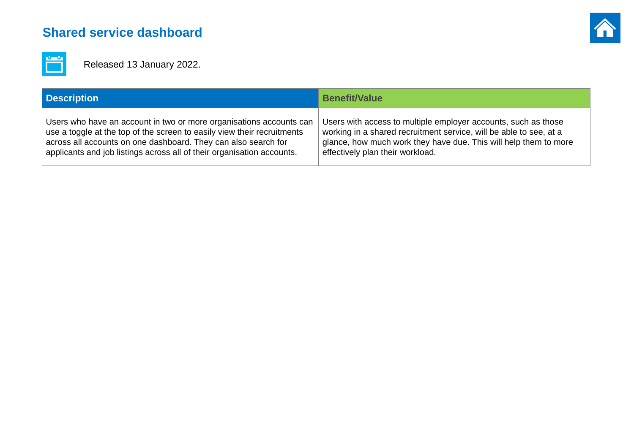## <span id="page-9-0"></span>**Shared service dashboard**



Released 13 January 2022.

| <b>Description</b>                                                      | <b>Benefit/Value</b>                       |
|-------------------------------------------------------------------------|--------------------------------------------|
| Users who have an account in two or more organisations accounts can     | Users with access to multiple employer a   |
| use a toggle at the top of the screen to easily view their recruitments | working in a shared recruitment service, y |
| across all accounts on one dashboard. They can also search for          | glance, how much work they have due. T     |
| applicants and job listings across all of their organisation accounts.  | effectively plan their workload.           |



accounts, such as those will be able to see, at a Fhis will help them to more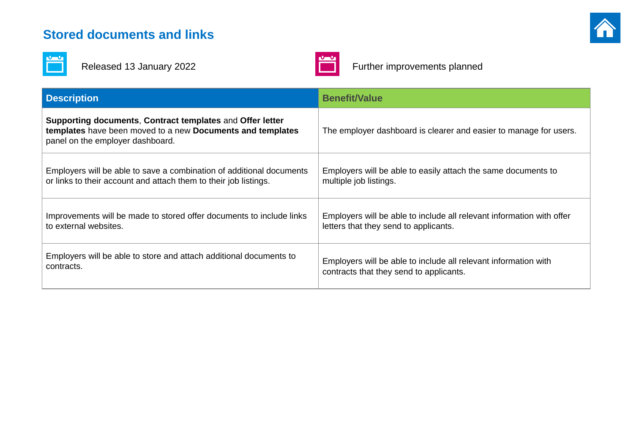### <span id="page-10-0"></span>**Stored documents and links**





Released 13 January 2022 **Further improvements planned** 

| <b>Description</b>                                                                                                                                          | <b>Benefit/Value</b>                                            |
|-------------------------------------------------------------------------------------------------------------------------------------------------------------|-----------------------------------------------------------------|
| Supporting documents, Contract templates and Offer letter<br>templates have been moved to a new Documents and templates<br>panel on the employer dashboard. | The employer dashboard is clearer and easier to manage for      |
| Employers will be able to save a combination of additional documents                                                                                        | Employers will be able to easily attach the same documents to   |
| or links to their account and attach them to their job listings.                                                                                            | multiple job listings.                                          |
| Improvements will be made to stored offer documents to include links                                                                                        | Employers will be able to include all relevant information with |
| to external websites.                                                                                                                                       | letters that they send to applicants.                           |
| Employers will be able to store and attach additional documents to                                                                                          | Employers will be able to include all relevant information with |
| contracts.                                                                                                                                                  | contracts that they send to applicants.                         |



- asier to manage for users.
- same documents to
- ant information with offer
-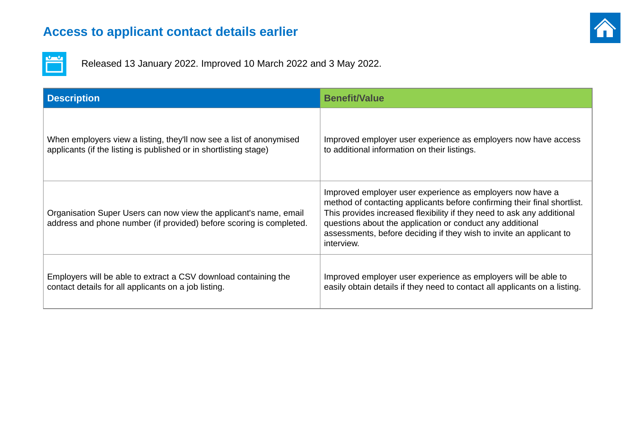### <span id="page-11-0"></span>**Access to applicant contact details earlier**



Released 13 January 2022. Improved 10 March 2022 and 3 May 2022.

| <b>Description</b>                                                                                                                       | <b>Benefit/Value</b>                                                                                                                                                                                                                    |
|------------------------------------------------------------------------------------------------------------------------------------------|-----------------------------------------------------------------------------------------------------------------------------------------------------------------------------------------------------------------------------------------|
| When employers view a listing, they'll now see a list of anonymised                                                                      | Improved employer user experience as e                                                                                                                                                                                                  |
| applicants (if the listing is published or in shortlisting stage)                                                                        | to additional information on their listings.                                                                                                                                                                                            |
| Organisation Super Users can now view the applicant's name, email<br>address and phone number (if provided) before scoring is completed. | Improved employer user experience as e<br>method of contacting applicants before c<br>This provides increased flexibility if they<br>questions about the application or condu<br>assessments, before deciding if they wis<br>interview. |
| Employers will be able to extract a CSV download containing the                                                                          | Improved employer user experience as e                                                                                                                                                                                                  |
| contact details for all applicants on a job listing.                                                                                     | easily obtain details if they need to conta                                                                                                                                                                                             |



employers now have access

employers now have a confirming their final shortlist. need to ask any additional uct any additional sh to invite an applicant to

employers will be able to act all applicants on a listing.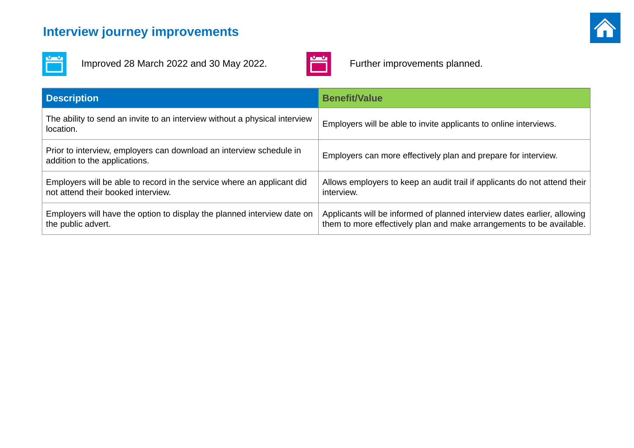## <span id="page-12-0"></span>**Interview journey improvements**



Improved 28 March 2022 and 30 May 2022. Further improvements planned.



| <b>Description</b>                                                                                           | <b>Benefit/Value</b>                                                                                                                |
|--------------------------------------------------------------------------------------------------------------|-------------------------------------------------------------------------------------------------------------------------------------|
| The ability to send an invite to an interview without a physical interview<br>location.                      | Employers will be able to invite applicants to online interviews.                                                                   |
| Prior to interview, employers can download an interview schedule in<br>addition to the applications.         | Employers can more effectively plan and prepare for interview.                                                                      |
| Employers will be able to record in the service where an applicant did<br>not attend their booked interview. | Allows employers to keep an audit trail if applicants do not atte<br>interview.                                                     |
| Employers will have the option to display the planned interview date on<br>the public advert.                | Applicants will be informed of planned interview dates earlier, a<br>them to more effectively plan and make arrangements to be aver |



- 
- 
- applicants do not attend their
- erview dates earlier, allowing rrangements to be available.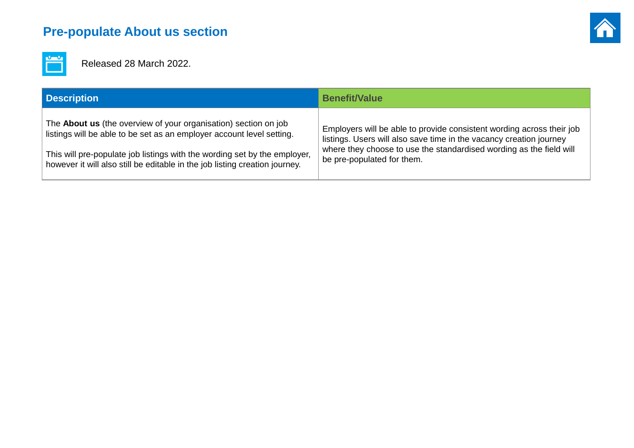## <span id="page-13-0"></span>**Pre-populate About us section**



Released 28 March 2022.

| <b>Description</b>                                                          | <b>Benefit/Value</b>                          |
|-----------------------------------------------------------------------------|-----------------------------------------------|
| The <b>About us</b> (the overview of your organisation) section on job      | Employers will be able to provide consisted   |
| listings will be able to be set as an employer account level setting.       | listings. Users will also save time in the va |
| This will pre-populate job listings with the wording set by the employer,   | where they choose to use the standardise      |
| however it will also still be editable in the job listing creation journey. | be pre-populated for them.                    |



#### tent wording across their job vacancy creation journey ed wording as the field will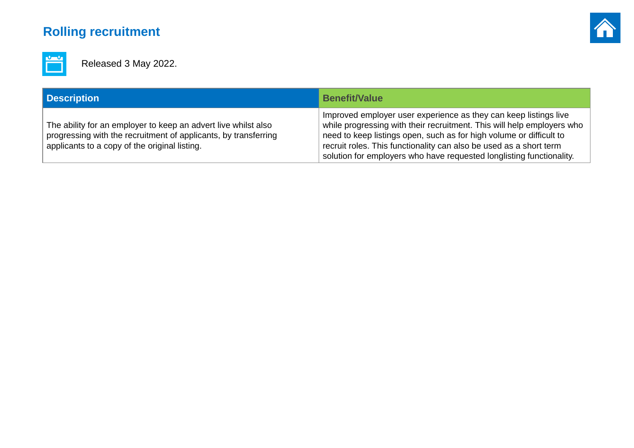## <span id="page-14-0"></span>**Rolling recruitment**



Released 3 May 2022.

| <b>Description</b>                                                                                                                                                                 | <b>Benefit/Value</b>                                                                                                                                                                                                                                                                                                                                            |
|------------------------------------------------------------------------------------------------------------------------------------------------------------------------------------|-----------------------------------------------------------------------------------------------------------------------------------------------------------------------------------------------------------------------------------------------------------------------------------------------------------------------------------------------------------------|
| The ability for an employer to keep an advert live whilst also<br>progressing with the recruitment of applicants, by transferring<br>applicants to a copy of the original listing. | Improved employer user experience as they can keep listings live<br>while progressing with their recruitment. This will help employers who<br>need to keep listings open, such as for high volume or difficult to<br>recruit roles. This functionality can also be used as a short term<br>solution for employers who have requested longlisting functionality. |

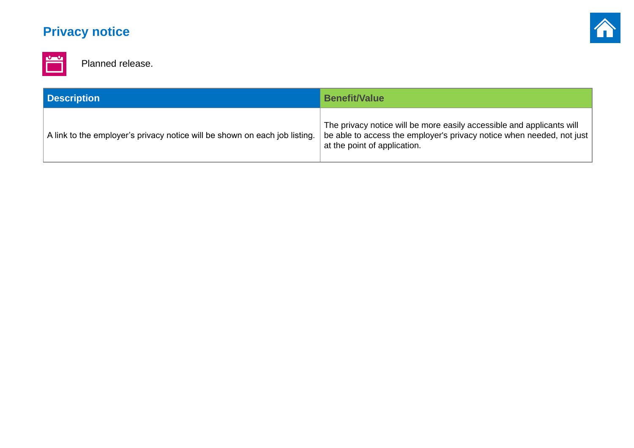## <span id="page-15-0"></span>**Privacy notice**



Planned release.

| <b>Description</b>                                                         | <b>Benefit/Value</b>                                                                                                  |
|----------------------------------------------------------------------------|-----------------------------------------------------------------------------------------------------------------------|
| A link to the employer's privacy notice will be shown on each job listing. | The privacy notice will be more easily ac<br>be able to access the employer's privacy<br>at the point of application. |



#### $\csc$  essible and applicants will indom in an access the ended, not just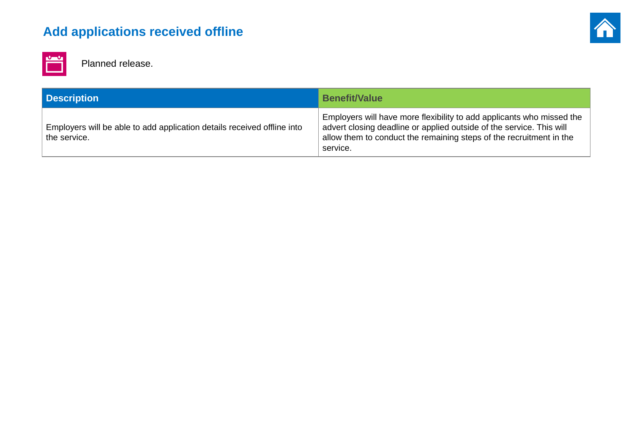## <span id="page-16-0"></span>**Add applications received offline**



Planned release.

| <b>Description</b>                                                                      | <b>Benefit/Value</b>                                                                                                                               |
|-----------------------------------------------------------------------------------------|----------------------------------------------------------------------------------------------------------------------------------------------------|
| Employers will be able to add application details received offline into<br>the service. | Employers will have more flexibility to add<br>advert closing deadline or applied outside<br>allow them to conduct the remaining steps<br>service. |



#### d applicants who missed the  $\theta$  of the service. This will allow sof the recruitment in the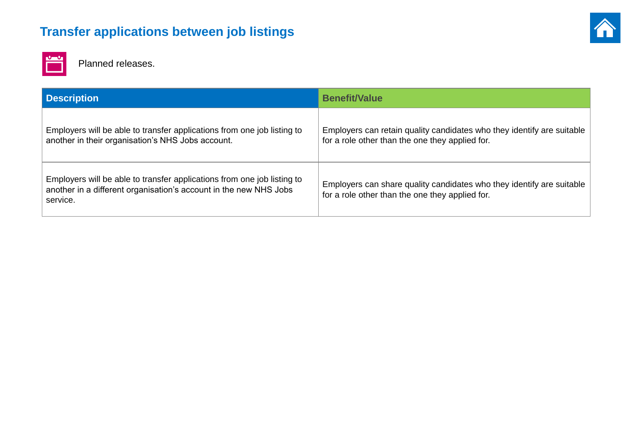## <span id="page-17-0"></span>**Transfer applications between job listings**



Planned releases.

| <b>Description</b>                                                                                                                                       | <b>Benefit/Value</b>                                                                           |
|----------------------------------------------------------------------------------------------------------------------------------------------------------|------------------------------------------------------------------------------------------------|
| Employers will be able to transfer applications from one job listing to<br>another in their organisation's NHS Jobs account.                             | Employers can retain quality candidates who<br>for a role other than the one they applied for. |
| Employers will be able to transfer applications from one job listing to<br>another in a different organisation's account in the new NHS Jobs<br>service. | Employers can share quality candidates who<br>for a role other than the one they applied for.  |



who they identify are suitable

who they identify are suitable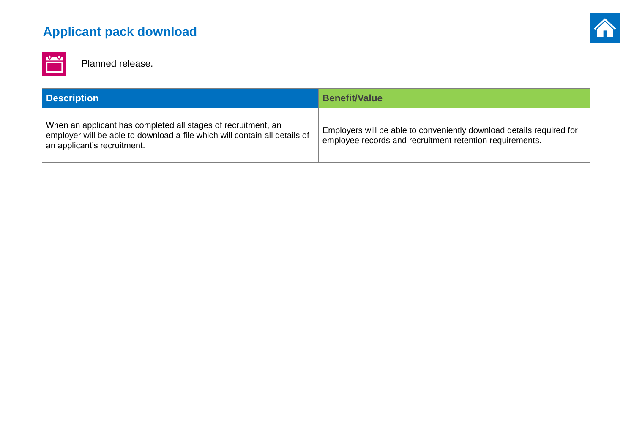## <span id="page-18-0"></span>**Applicant pack download**



Planned release.

| <b>Description</b>                                                                                                                                                         | <b>Benefit/Value</b>                                                                  |
|----------------------------------------------------------------------------------------------------------------------------------------------------------------------------|---------------------------------------------------------------------------------------|
| When an applicant has completed all stages of recruitment, an<br>employer will be able to download a file which will contain all details of<br>an applicant's recruitment. | Employers will be able to conveniently do<br>employee records and recruitment retenti |



#### bwnload details required for ion requirements.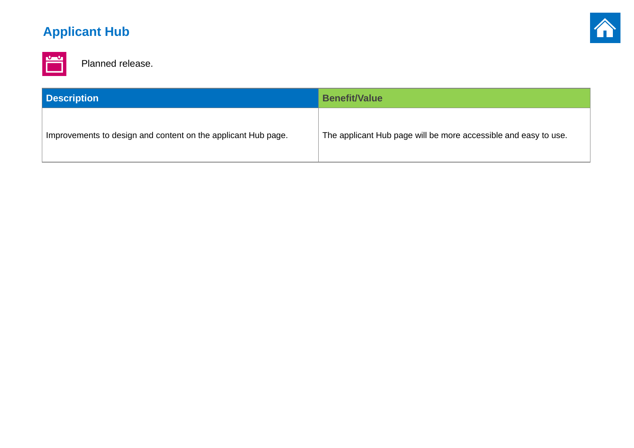## <span id="page-19-0"></span>**Applicant Hub**



Planned release.

| <b>Description</b>                                            | <b>Benefit/Value</b>                     |
|---------------------------------------------------------------|------------------------------------------|
| Improvements to design and content on the applicant Hub page. | The applicant Hub page will be more acce |



#### essible and easy to use.